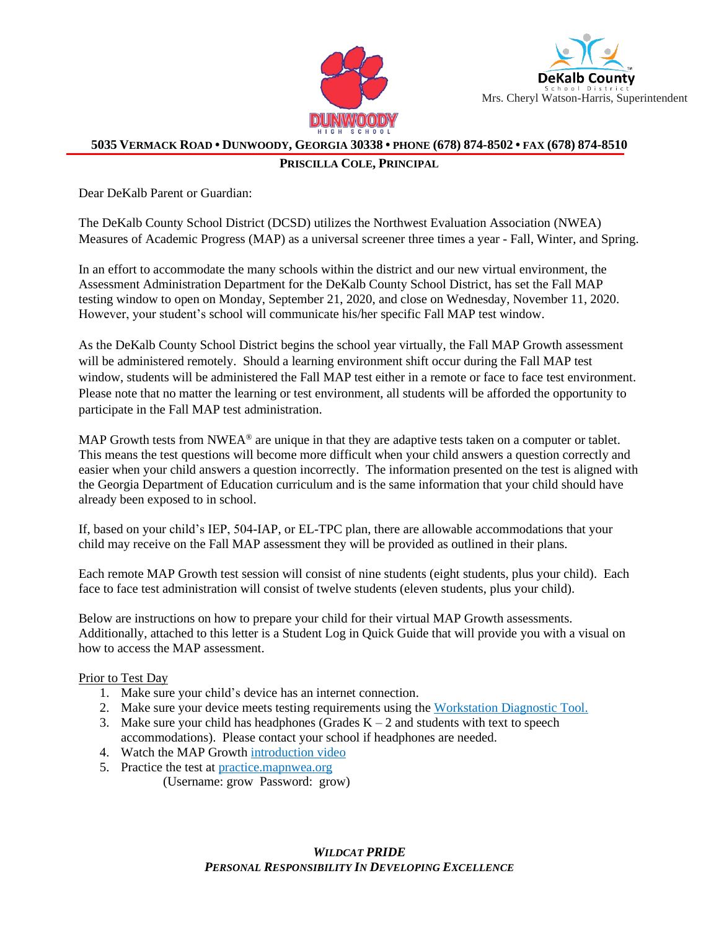



## 5035 VERMACK ROAD • DUNWOODY, GEORGIA 30338 • PHONE (678) 874-8502 • FAX (678) 874-8510

## **PRISCILLA COLE, PRINCIPAL**

Dear DeKalb Parent or Guardian:

The DeKalb County School District (DCSD) utilizes the Northwest Evaluation Association (NWEA) Measures of Academic Progress (MAP) as a universal screener three times a year - Fall, Winter, and Spring.

In an effort to accommodate the many schools within the district and our new virtual environment, the Assessment Administration Department for the DeKalb County School District, has set the Fall MAP testing window to open on Monday, September 21, 2020, and close on Wednesday, November 11, 2020. However, your student's school will communicate his/her specific Fall MAP test window.

As the DeKalb County School District begins the school year virtually, the Fall MAP Growth assessment will be administered remotely. Should a learning environment shift occur during the Fall MAP test window, students will be administered the Fall MAP test either in a remote or face to face test environment. Please note that no matter the learning or test environment, all students will be afforded the opportunity to participate in the Fall MAP test administration.

MAP Growth tests from NWEA<sup>®</sup> are unique in that they are adaptive tests taken on a computer or tablet. This means the test questions will become more difficult when your child answers a question correctly and easier when your child answers a question incorrectly. The information presented on the test is aligned with the Georgia Department of Education curriculum and is the same information that your child should have already been exposed to in school.

If, based on your child's IEP, 504-IAP, or EL-TPC plan, there are allowable accommodations that your child may receive on the Fall MAP assessment they will be provided as outlined in their plans.

Each remote MAP Growth test session will consist of nine students (eight students, plus your child). Each face to face test administration will consist of twelve students (eleven students, plus your child).

Below are instructions on how to prepare your child for their virtual MAP Growth assessments. Additionally, attached to this letter is a Student Log in Quick Guide that will provide you with a visual on how to access the MAP assessment.

## Prior to Test Day

- 1. Make sure your child's device has an internet connection.
- 2. Make sure your device meets testing requirements using the [Workstation Diagnostic Tool.](https://check.nwea.org/)
- 3. Make sure your child has headphones (Grades  $K 2$  and students with text to speech accommodations). Please contact your school if headphones are needed.
- 4. Watch the MAP Growth [introduction video](https://studentresources.nwea.org/app/k_two/what)
- 5. Practice the test at [practice.mapnwea.org](https://practice.mapnwea.org/#/practice-landing)
	- (Username: grow Password: grow)

*WILDCAT PRIDE PERSONAL RESPONSIBILITY IN DEVELOPING EXCELLENCE*